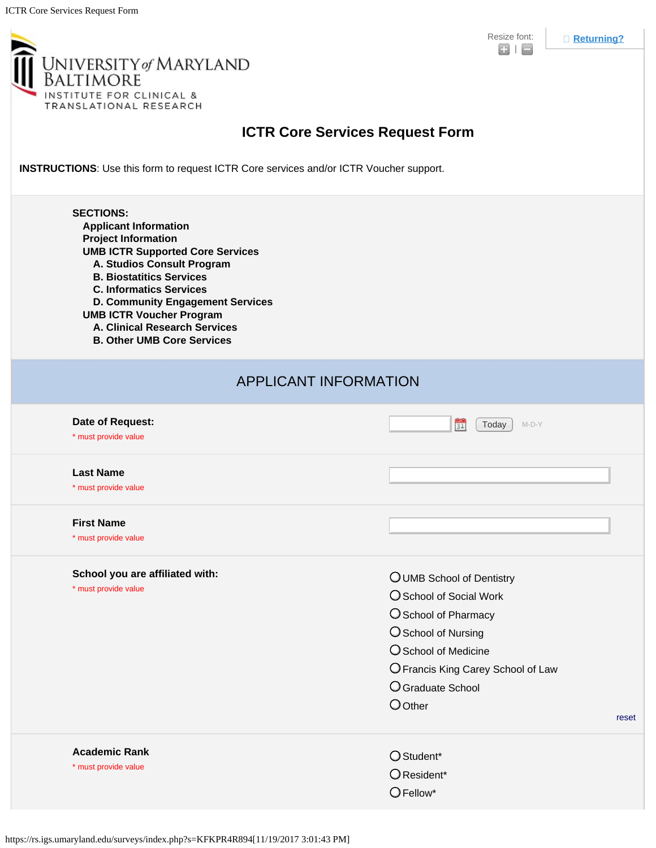

| <b>III</b> UNIVERSITY of MARYLAND<br>BALTIMORE<br>INSTITUTE FOR CLINICAL &<br>TRANSLATIONAL RESEARCH |  |
|------------------------------------------------------------------------------------------------------|--|
|------------------------------------------------------------------------------------------------------|--|

## **ICTR Core Services Request Form**

**INSTRUCTIONS**: Use this form to request ICTR Core services and/or ICTR Voucher support.

| <b>SECTIONS:</b><br><b>Applicant Information</b><br><b>Project Information</b><br><b>UMB ICTR Supported Core Services</b><br>A. Studios Consult Program<br><b>B. Biostatitics Services</b><br><b>C. Informatics Services</b><br>D. Community Engagement Services<br><b>UMB ICTR Voucher Program</b><br>A. Clinical Research Services<br><b>B. Other UMB Core Services</b> |                                                                                                                                                                                                           |  |  |  |
|---------------------------------------------------------------------------------------------------------------------------------------------------------------------------------------------------------------------------------------------------------------------------------------------------------------------------------------------------------------------------|-----------------------------------------------------------------------------------------------------------------------------------------------------------------------------------------------------------|--|--|--|
| <b>APPLICANT INFORMATION</b>                                                                                                                                                                                                                                                                                                                                              |                                                                                                                                                                                                           |  |  |  |
| Date of Request:<br>* must provide value                                                                                                                                                                                                                                                                                                                                  | $\frac{80}{31}$<br>$M-D-Y$<br>Today                                                                                                                                                                       |  |  |  |
| <b>Last Name</b><br>* must provide value                                                                                                                                                                                                                                                                                                                                  |                                                                                                                                                                                                           |  |  |  |
| <b>First Name</b><br>* must provide value                                                                                                                                                                                                                                                                                                                                 |                                                                                                                                                                                                           |  |  |  |
| School you are affiliated with:<br>* must provide value                                                                                                                                                                                                                                                                                                                   | OUMB School of Dentistry<br>O School of Social Work<br>O School of Pharmacy<br>O School of Nursing<br>O School of Medicine<br>O Francis King Carey School of Law<br>O Graduate School<br>O Other<br>reset |  |  |  |
| <b>Academic Rank</b><br>* must provide value                                                                                                                                                                                                                                                                                                                              | O Student*<br>O Resident*<br>$O$ Fellow*                                                                                                                                                                  |  |  |  |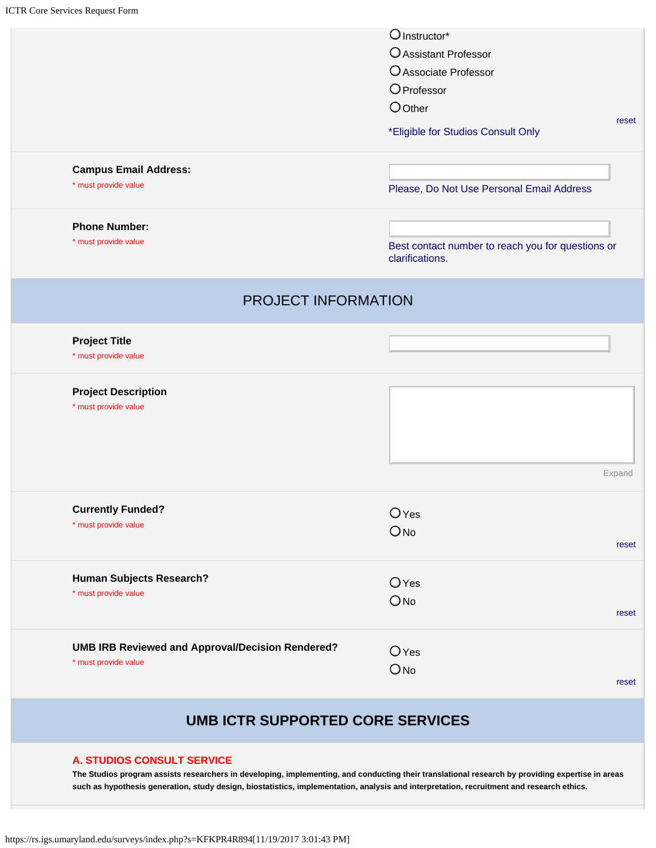|                                                         | O Instructor*                                                        |
|---------------------------------------------------------|----------------------------------------------------------------------|
|                                                         | O Assistant Professor                                                |
|                                                         | O Associate Professor                                                |
|                                                         | OProfessor                                                           |
|                                                         | $O$ Other                                                            |
|                                                         | *Eligible for Studios Consult Only                                   |
| <b>Campus Email Address:</b>                            |                                                                      |
| * must provide value                                    | Please, Do Not Use Personal Email Address                            |
| <b>Phone Number:</b>                                    |                                                                      |
| * must provide value                                    | Best contact number to reach you for questions or<br>clarifications. |
| PROJECT INFORMATION                                     |                                                                      |
| <b>Project Title</b>                                    |                                                                      |
| * must provide value                                    |                                                                      |
| <b>Project Description</b>                              |                                                                      |
| * must provide value                                    |                                                                      |
|                                                         |                                                                      |
| <b>Currently Funded?</b>                                | $O$ Yes                                                              |
| * must provide value                                    | $O$ <sub>No</sub>                                                    |
|                                                         |                                                                      |
| Human Subjects Research?<br>* must provide value        | OYes                                                                 |
|                                                         | ONo                                                                  |
| <b>UMB IRB Reviewed and Approval/Decision Rendered?</b> | $O$ Yes                                                              |
| * must provide value                                    | ONo                                                                  |
|                                                         |                                                                      |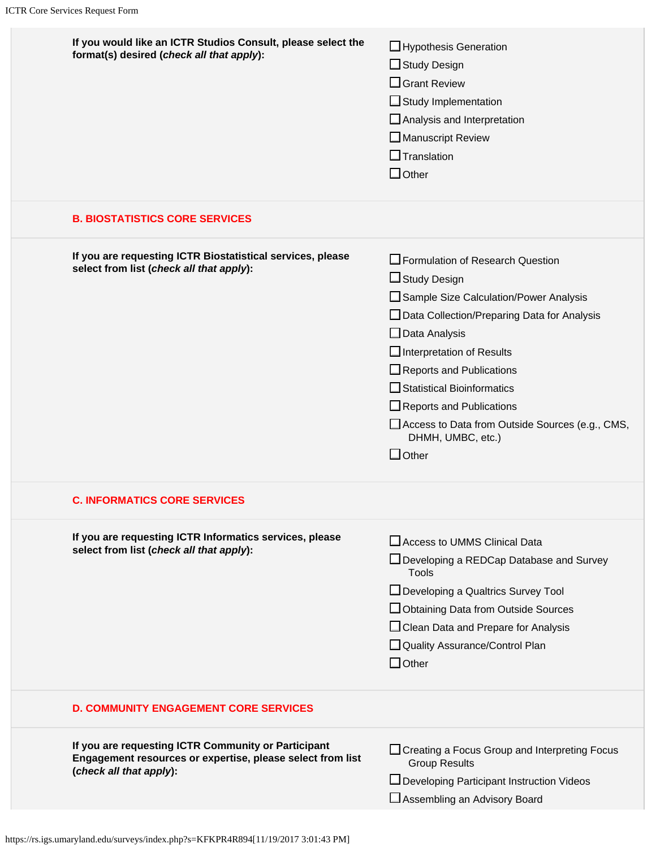| If you would like an ICTR Studios Consult, please select the<br>format(s) desired (check all that apply):                                    | Hypothesis Generation<br>$\Box$ Study Design<br>$\Box$ Grant Review<br>$\Box$ Study Implementation<br>$\Box$ Analysis and Interpretation<br>Manuscript Review<br>$\Box$ Translation<br>$\Box$ Other                                                                                                                                                                                |
|----------------------------------------------------------------------------------------------------------------------------------------------|------------------------------------------------------------------------------------------------------------------------------------------------------------------------------------------------------------------------------------------------------------------------------------------------------------------------------------------------------------------------------------|
| <b>B. BIOSTATISTICS CORE SERVICES</b>                                                                                                        |                                                                                                                                                                                                                                                                                                                                                                                    |
| If you are requesting ICTR Biostatistical services, please<br>select from list (check all that apply):                                       | □ Formulation of Research Question<br>□ Study Design<br>Sample Size Calculation/Power Analysis<br>□ Data Collection/Preparing Data for Analysis<br>$\Box$ Data Analysis<br>Interpretation of Results<br>Reports and Publications<br>Statistical Bioinformatics<br>Reports and Publications<br>Access to Data from Outside Sources (e.g., CMS,<br>DHMH, UMBC, etc.)<br>$\Box$ Other |
| <b>C. INFORMATICS CORE SERVICES</b>                                                                                                          |                                                                                                                                                                                                                                                                                                                                                                                    |
| If you are requesting ICTR Informatics services, please<br>select from list (check all that apply):                                          | Access to UMMS Clinical Data<br>□ Developing a REDCap Database and Survey<br><b>Tools</b><br>□ Developing a Qualtrics Survey Tool<br>□ Obtaining Data from Outside Sources<br>□ Clean Data and Prepare for Analysis<br>Quality Assurance/Control Plan<br>$\Box$ Other                                                                                                              |
| <b>D. COMMUNITY ENGAGEMENT CORE SERVICES</b>                                                                                                 |                                                                                                                                                                                                                                                                                                                                                                                    |
| If you are requesting ICTR Community or Participant<br>Engagement resources or expertise, please select from list<br>(check all that apply): | □ Creating a Focus Group and Interpreting Focus<br><b>Group Results</b><br>□ Developing Participant Instruction Videos<br>Assembling an Advisory Board                                                                                                                                                                                                                             |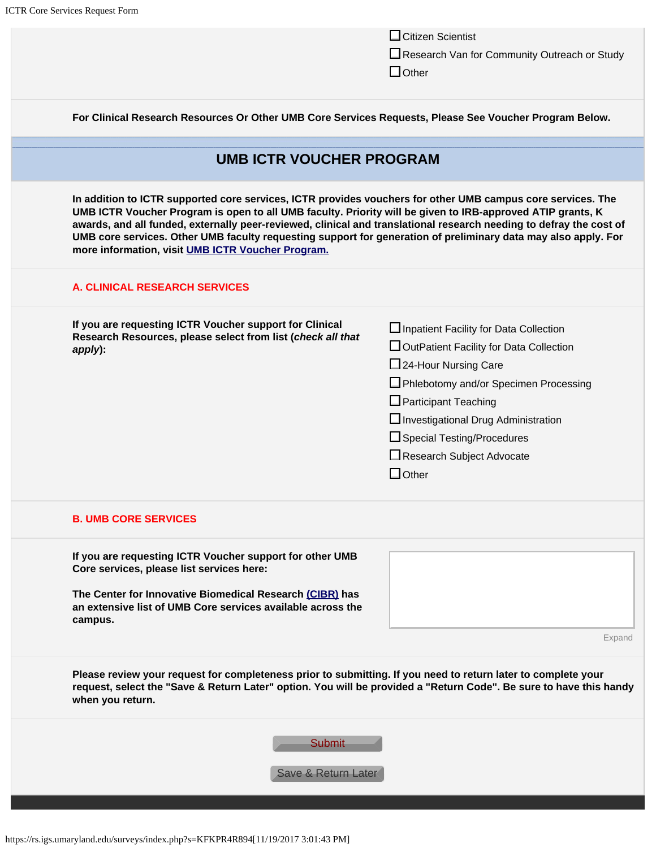|                                                                                                                                                                                                                                                         |                                                                                                                                                                                                                                                                                                                                                                                                                                                                                                                         | $\Box$ Citizen Scientist<br>Research Van for Community Outreach or Study<br>$\Box$ Other                                                                                                                                                                                                                    |  |  |
|---------------------------------------------------------------------------------------------------------------------------------------------------------------------------------------------------------------------------------------------------------|-------------------------------------------------------------------------------------------------------------------------------------------------------------------------------------------------------------------------------------------------------------------------------------------------------------------------------------------------------------------------------------------------------------------------------------------------------------------------------------------------------------------------|-------------------------------------------------------------------------------------------------------------------------------------------------------------------------------------------------------------------------------------------------------------------------------------------------------------|--|--|
| For Clinical Research Resources Or Other UMB Core Services Requests, Please See Voucher Program Below.                                                                                                                                                  |                                                                                                                                                                                                                                                                                                                                                                                                                                                                                                                         |                                                                                                                                                                                                                                                                                                             |  |  |
| <b>UMB ICTR VOUCHER PROGRAM</b>                                                                                                                                                                                                                         |                                                                                                                                                                                                                                                                                                                                                                                                                                                                                                                         |                                                                                                                                                                                                                                                                                                             |  |  |
|                                                                                                                                                                                                                                                         | In addition to ICTR supported core services, ICTR provides vouchers for other UMB campus core services. The<br>UMB ICTR Voucher Program is open to all UMB faculty. Priority will be given to IRB-approved ATIP grants, K<br>awards, and all funded, externally peer-reviewed, clinical and translational research needing to defray the cost of<br>UMB core services. Other UMB faculty requesting support for generation of preliminary data may also apply. For<br>more information, visit UMB ICTR Voucher Program. |                                                                                                                                                                                                                                                                                                             |  |  |
|                                                                                                                                                                                                                                                         | <b>A. CLINICAL RESEARCH SERVICES</b>                                                                                                                                                                                                                                                                                                                                                                                                                                                                                    |                                                                                                                                                                                                                                                                                                             |  |  |
|                                                                                                                                                                                                                                                         | If you are requesting ICTR Voucher support for Clinical<br>Research Resources, please select from list (check all that<br>apply):                                                                                                                                                                                                                                                                                                                                                                                       | □ Inpatient Facility for Data Collection<br>□ OutPatient Facility for Data Collection<br>24-Hour Nursing Care<br>□ Phlebotomy and/or Specimen Processing<br>$\Box$ Participant Teaching<br>Investigational Drug Administration<br>□ Special Testing/Procedures<br>Research Subject Advocate<br>$\Box$ Other |  |  |
|                                                                                                                                                                                                                                                         | <b>B. UMB CORE SERVICES</b>                                                                                                                                                                                                                                                                                                                                                                                                                                                                                             |                                                                                                                                                                                                                                                                                                             |  |  |
|                                                                                                                                                                                                                                                         | If you are requesting ICTR Voucher support for other UMB<br>Core services, please list services here:<br>The Center for Innovative Biomedical Research (CIBR) has<br>an extensive list of UMB Core services available across the<br>campus.                                                                                                                                                                                                                                                                             | Expand                                                                                                                                                                                                                                                                                                      |  |  |
| Please review your request for completeness prior to submitting. If you need to return later to complete your<br>request, select the "Save & Return Later" option. You will be provided a "Return Code". Be sure to have this handy<br>when you return. |                                                                                                                                                                                                                                                                                                                                                                                                                                                                                                                         |                                                                                                                                                                                                                                                                                                             |  |  |
|                                                                                                                                                                                                                                                         | <b>Submit</b><br>Save & Return Later                                                                                                                                                                                                                                                                                                                                                                                                                                                                                    |                                                                                                                                                                                                                                                                                                             |  |  |